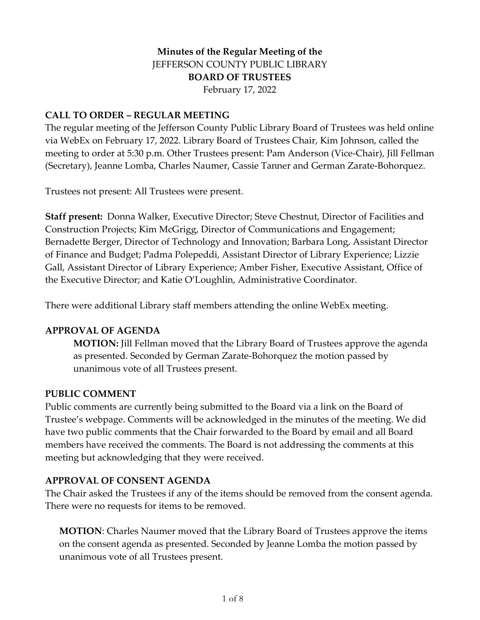# **Minutes of the Regular Meeting of the** JEFFERSON COUNTY PUBLIC LIBRARY **BOARD OF TRUSTEES** February 17, 2022

### **CALL TO ORDER – REGULAR MEETING**

The regular meeting of the Jefferson County Public Library Board of Trustees was held online via WebEx on February 17, 2022. Library Board of Trustees Chair, Kim Johnson, called the meeting to order at 5:30 p.m. Other Trustees present: Pam Anderson (Vice-Chair), Jill Fellman (Secretary), Jeanne Lomba, Charles Naumer, Cassie Tanner and German Zarate-Bohorquez.

Trustees not present: All Trustees were present.

**Staff present:** Donna Walker, Executive Director; Steve Chestnut, Director of Facilities and Construction Projects; Kim McGrigg, Director of Communications and Engagement; Bernadette Berger, Director of Technology and Innovation; Barbara Long, Assistant Director of Finance and Budget; Padma Polepeddi, Assistant Director of Library Experience; Lizzie Gall, Assistant Director of Library Experience; Amber Fisher, Executive Assistant, Office of the Executive Director; and Katie O'Loughlin, Administrative Coordinator.

There were additional Library staff members attending the online WebEx meeting.

#### **APPROVAL OF AGENDA**

**MOTION:** Jill Fellman moved that the Library Board of Trustees approve the agenda as presented. Seconded by German Zarate-Bohorquez the motion passed by unanimous vote of all Trustees present.

#### **PUBLIC COMMENT**

Public comments are currently being submitted to the Board via a link on the Board of Trustee's webpage. Comments will be acknowledged in the minutes of the meeting. We did have two public comments that the Chair forwarded to the Board by email and all Board members have received the comments. The Board is not addressing the comments at this meeting but acknowledging that they were received.

#### **APPROVAL OF CONSENT AGENDA**

The Chair asked the Trustees if any of the items should be removed from the consent agenda. There were no requests for items to be removed.

**MOTION**: Charles Naumer moved that the Library Board of Trustees approve the items on the consent agenda as presented. Seconded by Jeanne Lomba the motion passed by unanimous vote of all Trustees present.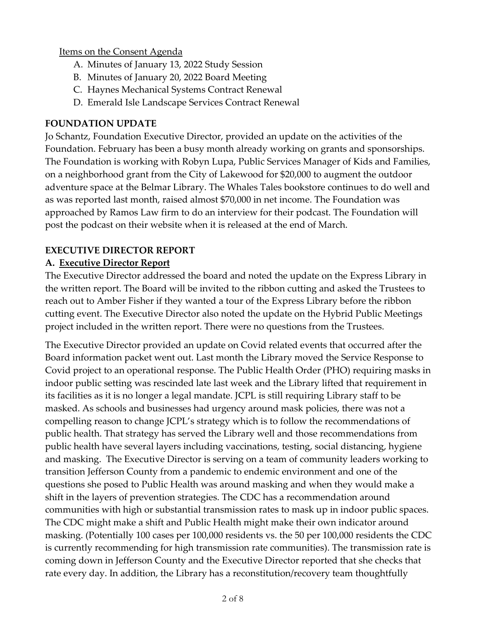### Items on the Consent Agenda

- A. Minutes of January 13, 2022 Study Session
- B. Minutes of January 20, 2022 Board Meeting
- C. Haynes Mechanical Systems Contract Renewal
- D. Emerald Isle Landscape Services Contract Renewal

## **FOUNDATION UPDATE**

Jo Schantz, Foundation Executive Director, provided an update on the activities of the Foundation. February has been a busy month already working on grants and sponsorships. The Foundation is working with Robyn Lupa, Public Services Manager of Kids and Families, on a neighborhood grant from the City of Lakewood for \$20,000 to augment the outdoor adventure space at the Belmar Library. The Whales Tales bookstore continues to do well and as was reported last month, raised almost \$70,000 in net income. The Foundation was approached by Ramos Law firm to do an interview for their podcast. The Foundation will post the podcast on their website when it is released at the end of March.

# **EXECUTIVE DIRECTOR REPORT**

# **A. Executive Director Report**

The Executive Director addressed the board and noted the update on the Express Library in the written report. The Board will be invited to the ribbon cutting and asked the Trustees to reach out to Amber Fisher if they wanted a tour of the Express Library before the ribbon cutting event. The Executive Director also noted the update on the Hybrid Public Meetings project included in the written report. There were no questions from the Trustees.

The Executive Director provided an update on Covid related events that occurred after the Board information packet went out. Last month the Library moved the Service Response to Covid project to an operational response. The Public Health Order (PHO) requiring masks in indoor public setting was rescinded late last week and the Library lifted that requirement in its facilities as it is no longer a legal mandate. JCPL is still requiring Library staff to be masked. As schools and businesses had urgency around mask policies, there was not a compelling reason to change JCPL's strategy which is to follow the recommendations of public health. That strategy has served the Library well and those recommendations from public health have several layers including vaccinations, testing, social distancing, hygiene and masking. The Executive Director is serving on a team of community leaders working to transition Jefferson County from a pandemic to endemic environment and one of the questions she posed to Public Health was around masking and when they would make a shift in the layers of prevention strategies. The CDC has a recommendation around communities with high or substantial transmission rates to mask up in indoor public spaces. The CDC might make a shift and Public Health might make their own indicator around masking. (Potentially 100 cases per 100,000 residents vs. the 50 per 100,000 residents the CDC is currently recommending for high transmission rate communities). The transmission rate is coming down in Jefferson County and the Executive Director reported that she checks that rate every day. In addition, the Library has a reconstitution/recovery team thoughtfully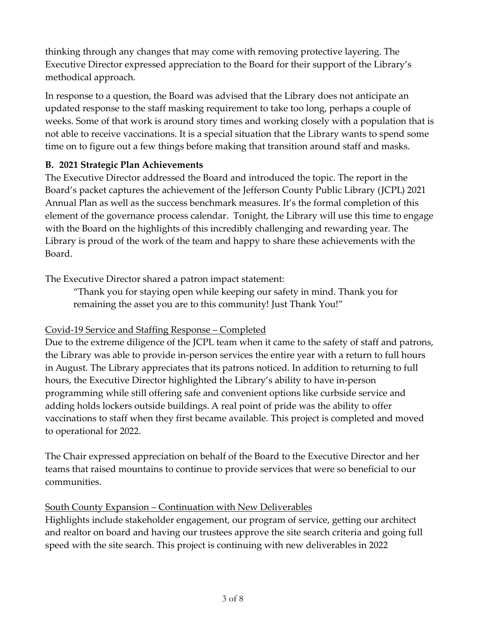thinking through any changes that may come with removing protective layering. The Executive Director expressed appreciation to the Board for their support of the Library's methodical approach.

In response to a question, the Board was advised that the Library does not anticipate an updated response to the staff masking requirement to take too long, perhaps a couple of weeks. Some of that work is around story times and working closely with a population that is not able to receive vaccinations. It is a special situation that the Library wants to spend some time on to figure out a few things before making that transition around staff and masks.

## **B. 2021 Strategic Plan Achievements**

The Executive Director addressed the Board and introduced the topic. The report in the Board's packet captures the achievement of the Jefferson County Public Library (JCPL) 2021 Annual Plan as well as the success benchmark measures. It's the formal completion of this element of the governance process calendar. Tonight, the Library will use this time to engage with the Board on the highlights of this incredibly challenging and rewarding year. The Library is proud of the work of the team and happy to share these achievements with the Board.

The Executive Director shared a patron impact statement:

"Thank you for staying open while keeping our safety in mind. Thank you for remaining the asset you are to this community! Just Thank You!"

# Covid-19 Service and Staffing Response – Completed

Due to the extreme diligence of the JCPL team when it came to the safety of staff and patrons, the Library was able to provide in-person services the entire year with a return to full hours in August. The Library appreciates that its patrons noticed. In addition to returning to full hours, the Executive Director highlighted the Library's ability to have in-person programming while still offering safe and convenient options like curbside service and adding holds lockers outside buildings. A real point of pride was the ability to offer vaccinations to staff when they first became available. This project is completed and moved to operational for 2022.

The Chair expressed appreciation on behalf of the Board to the Executive Director and her teams that raised mountains to continue to provide services that were so beneficial to our communities.

### South County Expansion – Continuation with New Deliverables

Highlights include stakeholder engagement, our program of service, getting our architect and realtor on board and having our trustees approve the site search criteria and going full speed with the site search. This project is continuing with new deliverables in 2022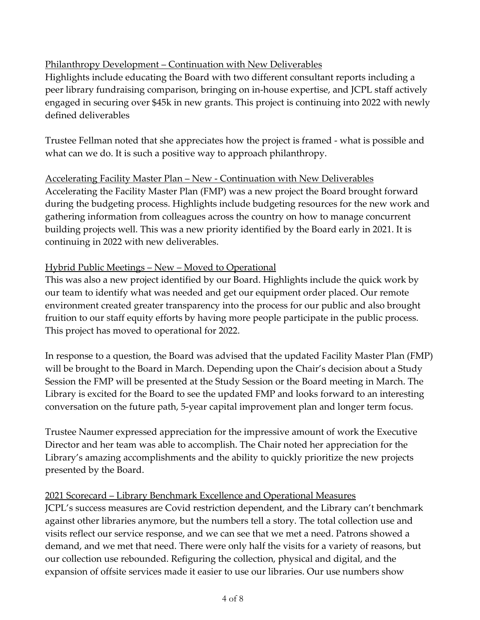# Philanthropy Development – Continuation with New Deliverables

Highlights include educating the Board with two different consultant reports including a peer library fundraising comparison, bringing on in-house expertise, and JCPL staff actively engaged in securing over \$45k in new grants. This project is continuing into 2022 with newly defined deliverables

Trustee Fellman noted that she appreciates how the project is framed - what is possible and what can we do. It is such a positive way to approach philanthropy.

# Accelerating Facility Master Plan – New - Continuation with New Deliverables Accelerating the Facility Master Plan (FMP) was a new project the Board brought forward during the budgeting process. Highlights include budgeting resources for the new work and gathering information from colleagues across the country on how to manage concurrent building projects well. This was a new priority identified by the Board early in 2021. It is continuing in 2022 with new deliverables.

# Hybrid Public Meetings – New – Moved to Operational

This was also a new project identified by our Board. Highlights include the quick work by our team to identify what was needed and get our equipment order placed. Our remote environment created greater transparency into the process for our public and also brought fruition to our staff equity efforts by having more people participate in the public process. This project has moved to operational for 2022.

In response to a question, the Board was advised that the updated Facility Master Plan (FMP) will be brought to the Board in March. Depending upon the Chair's decision about a Study Session the FMP will be presented at the Study Session or the Board meeting in March. The Library is excited for the Board to see the updated FMP and looks forward to an interesting conversation on the future path, 5-year capital improvement plan and longer term focus.

Trustee Naumer expressed appreciation for the impressive amount of work the Executive Director and her team was able to accomplish. The Chair noted her appreciation for the Library's amazing accomplishments and the ability to quickly prioritize the new projects presented by the Board.

### 2021 Scorecard – Library Benchmark Excellence and Operational Measures

JCPL's success measures are Covid restriction dependent, and the Library can't benchmark against other libraries anymore, but the numbers tell a story. The total collection use and visits reflect our service response, and we can see that we met a need. Patrons showed a demand, and we met that need. There were only half the visits for a variety of reasons, but our collection use rebounded. Refiguring the collection, physical and digital, and the expansion of offsite services made it easier to use our libraries. Our use numbers show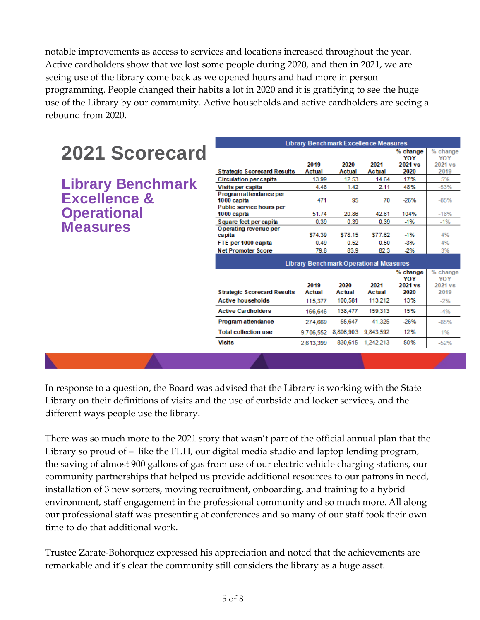notable improvements as access to services and locations increased throughout the year. Active cardholders show that we lost some people during 2020, and then in 2021, we are seeing use of the library come back as we opened hours and had more in person programming. People changed their habits a lot in 2020 and it is gratifying to see the huge use of the Library by our community. Active households and active cardholders are seeing a rebound from 2020.

|                          | <b>Library Benchmark Excellence Measures</b>    |               |           |           |                   |                   |
|--------------------------|-------------------------------------------------|---------------|-----------|-----------|-------------------|-------------------|
| <b>2021 Scorecard</b>    |                                                 |               |           |           | $%$ change<br>YOY | $%$ change<br>YOY |
|                          |                                                 | 2019          | 2020      | 2021      | 2021 vs           | 2021 vs           |
|                          | <b>Strategic Scorecard Results</b>              | Actual        | Actual    | Actual    | 2020              | 2019              |
|                          | <b>Circulation per capita</b>                   | 13.99         | 12.53     | 14.64     | 17%               | 5%                |
| <b>Library Benchmark</b> | Visits per capita                               | 4.48          | 1.42      | 2.11      | 48%               | $-53%$            |
| <b>Excellence &amp;</b>  | Programattendance per<br>1000 capita            | 471           | 95        | 70        | $-26%$            | $-85%$            |
|                          | Public service hours per                        |               |           |           |                   |                   |
| <b>Operational</b>       | 1000 capita                                     | 51.74         | 20.86     | 42.61     | 104%              | $-18%$            |
| <b>Measures</b>          | Square feet per capita<br>Operating revenue per | 0.39          | 0.39      | 0.39      | $-1%$             | $-1%$             |
|                          | ca pita                                         | \$74.39       | \$78.15   | \$77.62   | $-1%$             | 4%                |
|                          | FTE per 1000 capita                             | 0.49          | 0.52      | 0.50      | $-3%$             | 4%                |
|                          | <b>Net Promoter Score</b>                       | 79.8          | 83.9      | 82.3      | $-2%$             | 3%                |
|                          | <b>Library Benchmark Operational Measures</b>   |               |           |           |                   |                   |
|                          |                                                 |               |           |           | % change<br>YOY   | $%$ change<br>YOY |
|                          |                                                 | 2019          | 2020      | 2021      | 2021 vs           | 2021 vs           |
|                          | <b>Strategic Scorecard Results</b>              | <b>Actual</b> | Actual    | Actual    | 2020              | 2019              |
|                          | <b>Active households</b>                        | 115.377       | 100,581   | 113,212   | 13%               | $-2%$             |
|                          | <b>Active Cardholders</b>                       | 166,646       | 138.477   | 159.313   | 15%               | $-4%$             |
|                          | Program attendance                              | 274.669       | 55,647    | 41,325    | $-26%$            | $-85%$            |
|                          | <b>Total collection use</b>                     | 9.706.552     | 8,806,903 | 9,843,592 | 12%               | 1%                |
|                          | <b>Visits</b>                                   | 2,613,399     | 830,615   | 1.242.213 | 50%               | $-52%$            |
|                          |                                                 |               |           |           |                   |                   |

In response to a question, the Board was advised that the Library is working with the State Library on their definitions of visits and the use of curbside and locker services, and the different ways people use the library.

There was so much more to the 2021 story that wasn't part of the official annual plan that the Library so proud of – like the FLTI, our digital media studio and laptop lending program, the saving of almost 900 gallons of gas from use of our electric vehicle charging stations, our community partnerships that helped us provide additional resources to our patrons in need, installation of 3 new sorters, moving recruitment, onboarding, and training to a hybrid environment, staff engagement in the professional community and so much more. All along our professional staff was presenting at conferences and so many of our staff took their own time to do that additional work.

Trustee Zarate-Bohorquez expressed his appreciation and noted that the achievements are remarkable and it's clear the community still considers the library as a huge asset.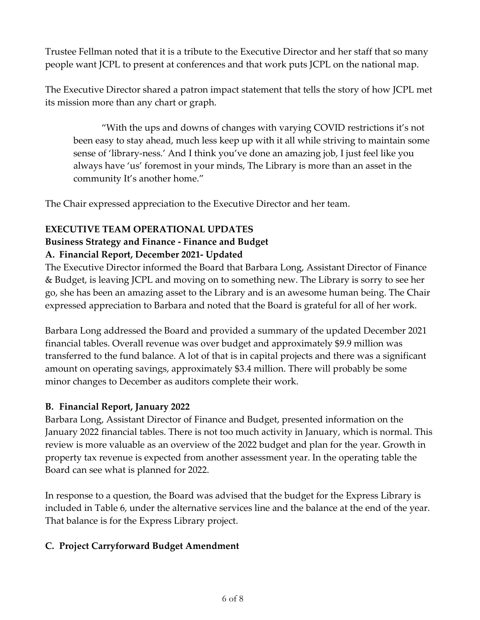Trustee Fellman noted that it is a tribute to the Executive Director and her staff that so many people want JCPL to present at conferences and that work puts JCPL on the national map.

The Executive Director shared a patron impact statement that tells the story of how JCPL met its mission more than any chart or graph.

"With the ups and downs of changes with varying COVID restrictions it's not been easy to stay ahead, much less keep up with it all while striving to maintain some sense of 'library-ness.' And I think you've done an amazing job, I just feel like you always have 'us' foremost in your minds, The Library is more than an asset in the community It's another home."

The Chair expressed appreciation to the Executive Director and her team.

## **EXECUTIVE TEAM OPERATIONAL UPDATES**

# **Business Strategy and Finance - Finance and Budget**

# **A. Financial Report, December 2021- Updated**

The Executive Director informed the Board that Barbara Long, Assistant Director of Finance & Budget, is leaving JCPL and moving on to something new. The Library is sorry to see her go, she has been an amazing asset to the Library and is an awesome human being. The Chair expressed appreciation to Barbara and noted that the Board is grateful for all of her work.

Barbara Long addressed the Board and provided a summary of the updated December 2021 financial tables. Overall revenue was over budget and approximately \$9.9 million was transferred to the fund balance. A lot of that is in capital projects and there was a significant amount on operating savings, approximately \$3.4 million. There will probably be some minor changes to December as auditors complete their work.

# **B. Financial Report, January 2022**

Barbara Long, Assistant Director of Finance and Budget, presented information on the January 2022 financial tables. There is not too much activity in January, which is normal. This review is more valuable as an overview of the 2022 budget and plan for the year. Growth in property tax revenue is expected from another assessment year. In the operating table the Board can see what is planned for 2022.

In response to a question, the Board was advised that the budget for the Express Library is included in Table 6, under the alternative services line and the balance at the end of the year. That balance is for the Express Library project.

# **C. Project Carryforward Budget Amendment**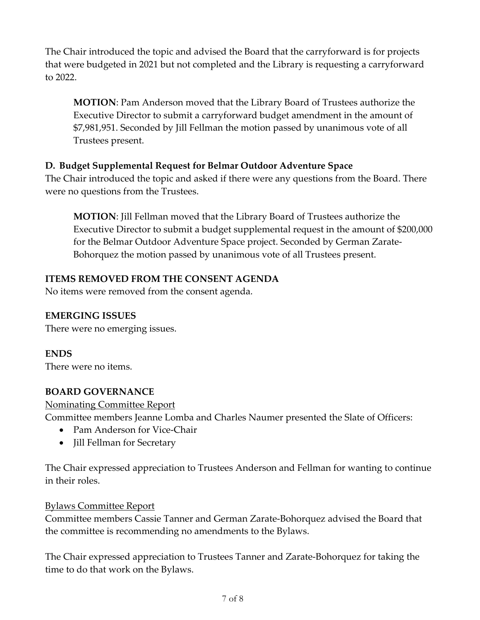The Chair introduced the topic and advised the Board that the carryforward is for projects that were budgeted in 2021 but not completed and the Library is requesting a carryforward to 2022.

**MOTION**: Pam Anderson moved that the Library Board of Trustees authorize the Executive Director to submit a carryforward budget amendment in the amount of \$7,981,951. Seconded by Jill Fellman the motion passed by unanimous vote of all Trustees present.

# **D. Budget Supplemental Request for Belmar Outdoor Adventure Space**

The Chair introduced the topic and asked if there were any questions from the Board. There were no questions from the Trustees.

**MOTION**: Jill Fellman moved that the Library Board of Trustees authorize the Executive Director to submit a budget supplemental request in the amount of \$200,000 for the Belmar Outdoor Adventure Space project. Seconded by German Zarate-Bohorquez the motion passed by unanimous vote of all Trustees present.

## **ITEMS REMOVED FROM THE CONSENT AGENDA**

No items were removed from the consent agenda.

### **EMERGING ISSUES**

There were no emerging issues.

**ENDS**

There were no items.

### **BOARD GOVERNANCE**

#### Nominating Committee Report

Committee members Jeanne Lomba and Charles Naumer presented the Slate of Officers:

- Pam Anderson for Vice-Chair
- Jill Fellman for Secretary

The Chair expressed appreciation to Trustees Anderson and Fellman for wanting to continue in their roles.

### Bylaws Committee Report

Committee members Cassie Tanner and German Zarate-Bohorquez advised the Board that the committee is recommending no amendments to the Bylaws.

The Chair expressed appreciation to Trustees Tanner and Zarate-Bohorquez for taking the time to do that work on the Bylaws.